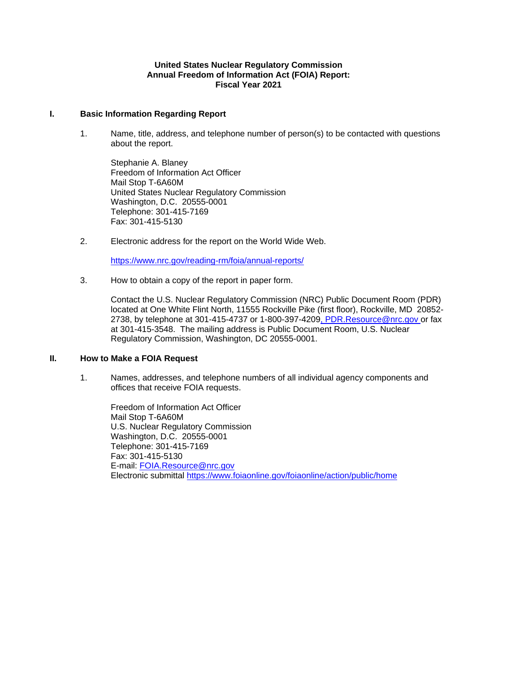#### **United States Nuclear Regulatory Commission Annual Freedom of Information Act (FOIA) Report: Fiscal Year 2021**

#### **I. Basic Information Regarding Report**

1. Name, title, address, and telephone number of person(s) to be contacted with questions about the report.

Stephanie A. Blaney Freedom of Information Act Officer Mail Stop T-6A60M United States Nuclear Regulatory Commission Washington, D.C. 20555-0001 Telephone: 301-415-7169 Fax: 301-415-5130

2. Electronic address for the report on the World Wide Web.

<https://www.nrc.gov/reading-rm/foia/annual-reports/>

3. How to obtain a copy of the report in paper form.

Contact the U.S. Nuclear Regulatory Commission (NRC) Public Document Room (PDR) located at One White Flint North, 11555 Rockville Pike (first floor), Rockville, MD 20852- 2738, by telephone at 301-415-4737 or 1-800-397-4209, [PDR.Resource@nrc.gov](mailto:PDR.Resource@nrc.gov) or fax at 301-415-3548. The mailing address is Public Document Room, U.S. Nuclear Regulatory Commission, Washington, DC 20555-0001.

### **II. How to Make a FOIA Request**

1. Names, addresses, and telephone numbers of all individual agency components and offices that receive FOIA requests.

Freedom of Information Act Officer Mail Stop T-6A60M U.S. Nuclear Regulatory Commission Washington, D.C. 20555-0001 Telephone: 301-415-7169 Fax: 301-415-5130 E-mail: [FOIA.Resource@nrc.gov](mailto:FOIA.Resource@nrc.gov) Electronic submittal<https://www.foiaonline.gov/foiaonline/action/public/home>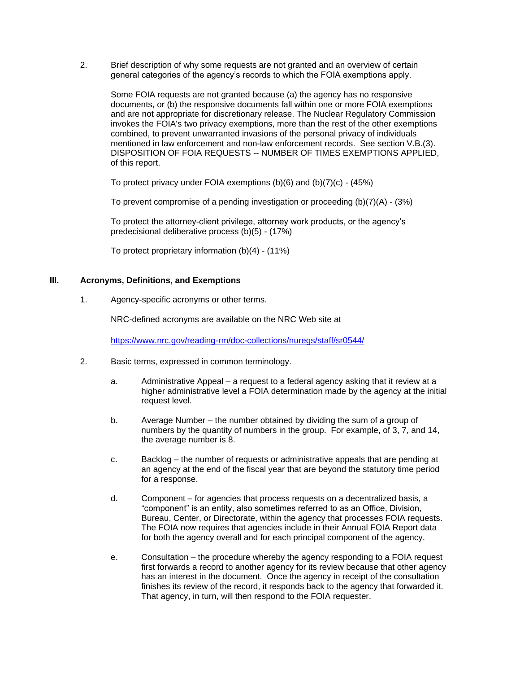2. Brief description of why some requests are not granted and an overview of certain general categories of the agency's records to which the FOIA exemptions apply.

Some FOIA requests are not granted because (a) the agency has no responsive documents, or (b) the responsive documents fall within one or more FOIA exemptions and are not appropriate for discretionary release. The Nuclear Regulatory Commission invokes the FOIA's two privacy exemptions, more than the rest of the other exemptions combined, to prevent unwarranted invasions of the personal privacy of individuals mentioned in law enforcement and non-law enforcement records. See section V.B.(3). DISPOSITION OF FOIA REQUESTS -- NUMBER OF TIMES EXEMPTIONS APPLIED, of this report.

To protect privacy under FOIA exemptions (b)(6) and (b)(7)(c) - (45%)

To prevent compromise of a pending investigation or proceeding  $(b)(7)(A) - (3%)$ 

To protect the attorney-client privilege, attorney work products, or the agency's predecisional deliberative process (b)(5) - (17%)

To protect proprietary information (b)(4) - (11%)

### **III. Acronyms, Definitions, and Exemptions**

1. Agency-specific acronyms or other terms.

NRC-defined acronyms are available on the NRC Web site at

<https://www.nrc.gov/reading-rm/doc-collections/nuregs/staff/sr0544/>

- 2. Basic terms, expressed in common terminology.
	- a. Administrative Appeal a request to a federal agency asking that it review at a higher administrative level a FOIA determination made by the agency at the initial request level.
	- b. Average Number the number obtained by dividing the sum of a group of numbers by the quantity of numbers in the group. For example, of 3, 7, and 14, the average number is 8.
	- c. Backlog the number of requests or administrative appeals that are pending at an agency at the end of the fiscal year that are beyond the statutory time period for a response.
	- d. Component for agencies that process requests on a decentralized basis, a "component" is an entity, also sometimes referred to as an Office, Division, Bureau, Center, or Directorate, within the agency that processes FOIA requests. The FOIA now requires that agencies include in their Annual FOIA Report data for both the agency overall and for each principal component of the agency.
	- e. Consultation the procedure whereby the agency responding to a FOIA request first forwards a record to another agency for its review because that other agency has an interest in the document. Once the agency in receipt of the consultation finishes its review of the record, it responds back to the agency that forwarded it. That agency, in turn, will then respond to the FOIA requester.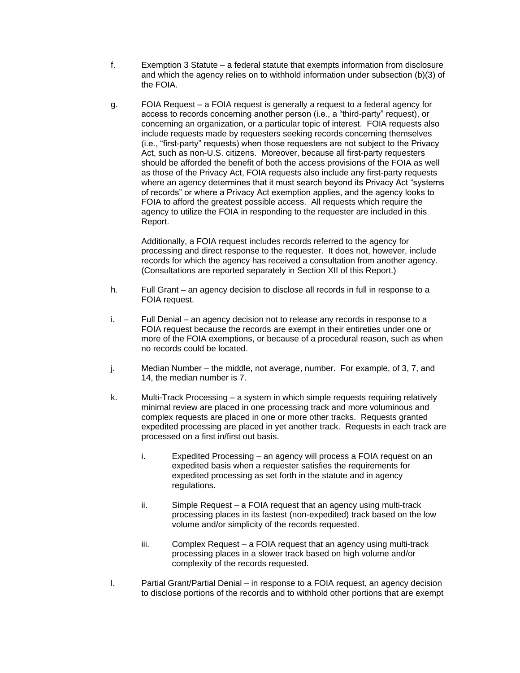- f. Exemption 3 Statute a federal statute that exempts information from disclosure and which the agency relies on to withhold information under subsection (b)(3) of the FOIA.
- g. FOIA Request a FOIA request is generally a request to a federal agency for access to records concerning another person (i.e., a "third-party" request), or concerning an organization, or a particular topic of interest. FOIA requests also include requests made by requesters seeking records concerning themselves (i.e., "first-party" requests) when those requesters are not subject to the Privacy Act, such as non-U.S. citizens. Moreover, because all first-party requesters should be afforded the benefit of both the access provisions of the FOIA as well as those of the Privacy Act, FOIA requests also include any first-party requests where an agency determines that it must search beyond its Privacy Act "systems of records" or where a Privacy Act exemption applies, and the agency looks to FOIA to afford the greatest possible access. All requests which require the agency to utilize the FOIA in responding to the requester are included in this Report.

Additionally, a FOIA request includes records referred to the agency for processing and direct response to the requester. It does not, however, include records for which the agency has received a consultation from another agency. (Consultations are reported separately in Section XII of this Report.)

- h. Full Grant an agency decision to disclose all records in full in response to a FOIA request.
- i. Full Denial an agency decision not to release any records in response to a FOIA request because the records are exempt in their entireties under one or more of the FOIA exemptions, or because of a procedural reason, such as when no records could be located.
- j. Median Number the middle, not average, number. For example, of 3, 7, and 14, the median number is 7.
- k. Multi-Track Processing a system in which simple requests requiring relatively minimal review are placed in one processing track and more voluminous and complex requests are placed in one or more other tracks. Requests granted expedited processing are placed in yet another track. Requests in each track are processed on a first in/first out basis.
	- i. Expedited Processing an agency will process a FOIA request on an expedited basis when a requester satisfies the requirements for expedited processing as set forth in the statute and in agency regulations.
	- ii. Simple Request a FOIA request that an agency using multi-track processing places in its fastest (non-expedited) track based on the low volume and/or simplicity of the records requested.
	- iii. Complex Request a FOIA request that an agency using multi-track processing places in a slower track based on high volume and/or complexity of the records requested.
- l. Partial Grant/Partial Denial in response to a FOIA request, an agency decision to disclose portions of the records and to withhold other portions that are exempt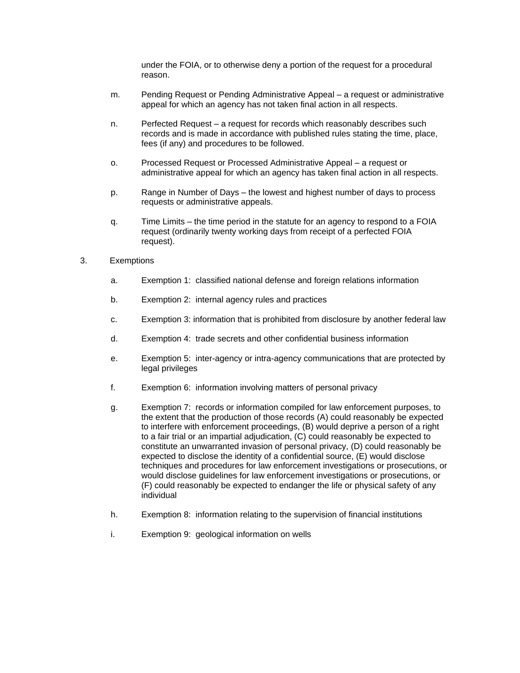under the FOIA, or to otherwise deny a portion of the request for a procedural reason.

- m. Pending Request or Pending Administrative Appeal a request or administrative appeal for which an agency has not taken final action in all respects.
- n. Perfected Request a request for records which reasonably describes such records and is made in accordance with published rules stating the time, place, fees (if any) and procedures to be followed.
- o. Processed Request or Processed Administrative Appeal a request or administrative appeal for which an agency has taken final action in all respects.
- p. Range in Number of Days the lowest and highest number of days to process requests or administrative appeals.
- q. Time Limits the time period in the statute for an agency to respond to a FOIA request (ordinarily twenty working days from receipt of a perfected FOIA request).

#### 3. Exemptions

- a. Exemption 1: classified national defense and foreign relations information
- b. Exemption 2: internal agency rules and practices
- c. Exemption 3: information that is prohibited from disclosure by another federal law
- d. Exemption 4: trade secrets and other confidential business information
- e. Exemption 5: inter-agency or intra-agency communications that are protected by legal privileges
- f. Exemption 6: information involving matters of personal privacy
- g. Exemption 7: records or information compiled for law enforcement purposes, to the extent that the production of those records (A) could reasonably be expected to interfere with enforcement proceedings, (B) would deprive a person of a right to a fair trial or an impartial adjudication, (C) could reasonably be expected to constitute an unwarranted invasion of personal privacy, (D) could reasonably be expected to disclose the identity of a confidential source, (E) would disclose techniques and procedures for law enforcement investigations or prosecutions, or would disclose guidelines for law enforcement investigations or prosecutions, or (F) could reasonably be expected to endanger the life or physical safety of any individual
- h. Exemption 8: information relating to the supervision of financial institutions
- i. Exemption 9: geological information on wells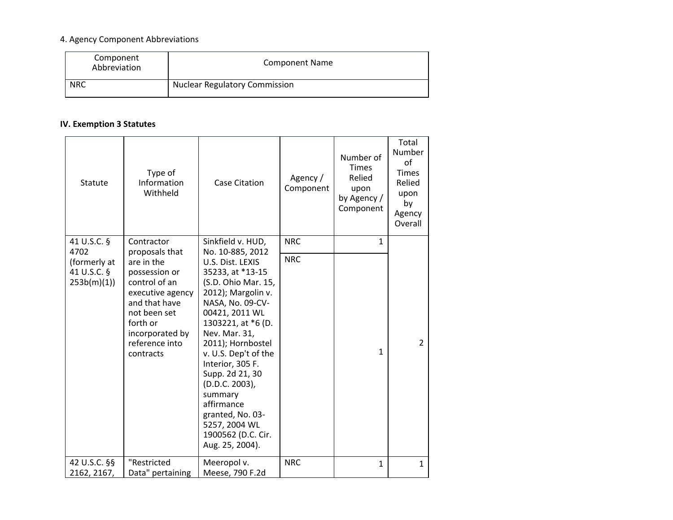# 4. Agency Component Abbreviations

| Component<br>Abbreviation | <b>Component Name</b>                |
|---------------------------|--------------------------------------|
| <b>NRC</b>                | <b>Nuclear Regulatory Commission</b> |

# **IV. Exemption 3 Statutes**

| Statute                                   | Type of<br>Information<br>Withheld                                                                                                                              | <b>Case Citation</b>                                                                                                                                                                                                                                                                                                                                                        | Agency /<br>Component | Number of<br><b>Times</b><br>Relied<br>upon<br>by Agency /<br>Component | Total<br>Number<br>οf<br><b>Times</b><br>Relied<br>upon<br>by<br>Agency<br>Overall |
|-------------------------------------------|-----------------------------------------------------------------------------------------------------------------------------------------------------------------|-----------------------------------------------------------------------------------------------------------------------------------------------------------------------------------------------------------------------------------------------------------------------------------------------------------------------------------------------------------------------------|-----------------------|-------------------------------------------------------------------------|------------------------------------------------------------------------------------|
| 41 U.S.C. §<br>4702                       | Contractor<br>proposals that                                                                                                                                    | Sinkfield v. HUD,<br>No. 10-885, 2012                                                                                                                                                                                                                                                                                                                                       | <b>NRC</b>            | $\mathbf{1}$                                                            |                                                                                    |
| (formerly at<br>41 U.S.C. §<br>253b(m)(1) | are in the<br>possession or<br>control of an<br>executive agency<br>and that have<br>not been set<br>forth or<br>incorporated by<br>reference into<br>contracts | U.S. Dist. LEXIS<br>35233, at *13-15<br>(S.D. Ohio Mar. 15,<br>2012); Margolin v.<br>NASA, No. 09-CV-<br>00421, 2011 WL<br>1303221, at *6 (D.<br>Nev. Mar. 31,<br>2011); Hornbostel<br>v. U.S. Dep't of the<br>Interior, 305 F.<br>Supp. 2d 21, 30<br>(D.D.C. 2003),<br>summary<br>affirmance<br>granted, No. 03-<br>5257, 2004 WL<br>1900562 (D.C. Cir.<br>Aug. 25, 2004). | <b>NRC</b>            | $\mathbf{1}$                                                            | $\mathcal{P}$                                                                      |
| 42 U.S.C. §§<br>2162, 2167,               | "Restricted<br>Data" pertaining                                                                                                                                 | Meeropol v.<br>Meese, 790 F.2d                                                                                                                                                                                                                                                                                                                                              | <b>NRC</b>            | $\mathbf{1}$                                                            | $\mathbf{1}$                                                                       |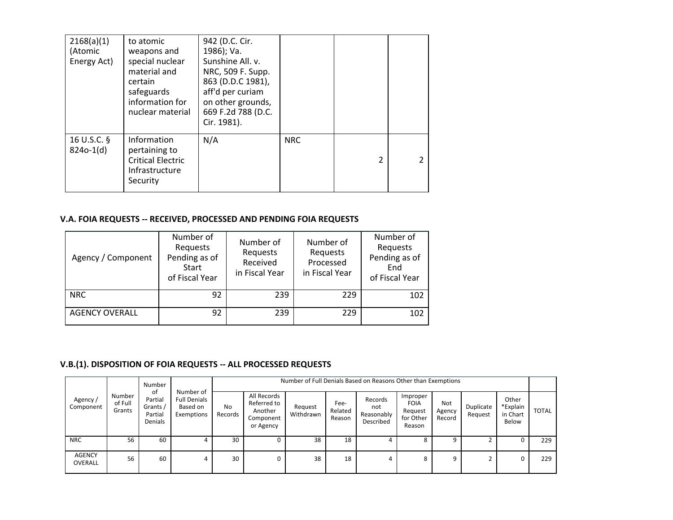| 2168(a)(1)<br>(Atomic<br>Energy Act) | to atomic<br>weapons and<br>special nuclear<br>material and<br>certain<br>safeguards<br>information for<br>nuclear material | 942 (D.C. Cir.<br>1986); Va.<br>Sunshine All. v.<br>NRC, 509 F. Supp.<br>863 (D.D.C 1981),<br>aff'd per curiam<br>on other grounds,<br>669 F.2d 788 (D.C.<br>Cir. 1981). |            |                          |  |
|--------------------------------------|-----------------------------------------------------------------------------------------------------------------------------|--------------------------------------------------------------------------------------------------------------------------------------------------------------------------|------------|--------------------------|--|
| 16 U.S.C. §<br>$824o-1(d)$           | Information<br>pertaining to<br><b>Critical Electric</b><br>Infrastructure<br>Security                                      | N/A                                                                                                                                                                      | <b>NRC</b> | $\overline{\mathcal{L}}$ |  |

## **V.A. FOIA REQUESTS -- RECEIVED, PROCESSED AND PENDING FOIA REQUESTS**

| Agency / Component    | Number of<br>Requests<br>Pending as of<br>Start<br>of Fiscal Year | Number of<br>Requests<br>Received<br>in Fiscal Year | Number of<br>Requests<br>Processed<br>in Fiscal Year | Number of<br>Requests<br>Pending as of<br>End<br>of Fiscal Year |
|-----------------------|-------------------------------------------------------------------|-----------------------------------------------------|------------------------------------------------------|-----------------------------------------------------------------|
| <b>NRC</b>            | 92                                                                | 239                                                 | 229                                                  | 102                                                             |
| <b>AGENCY OVERALL</b> | 92                                                                | 239                                                 | 229                                                  | 102                                                             |

# **V.B.(1). DISPOSITION OF FOIA REQUESTS -- ALL PROCESSED REQUESTS**

|                                                      |                                                 | Number                                                     |               | Number of Full Denials Based on Reasons Other than Exemptions   |                      |                           |                                           |                                                           |                         |                      |                                        |              |     |
|------------------------------------------------------|-------------------------------------------------|------------------------------------------------------------|---------------|-----------------------------------------------------------------|----------------------|---------------------------|-------------------------------------------|-----------------------------------------------------------|-------------------------|----------------------|----------------------------------------|--------------|-----|
| Number<br>Agency /<br>of Full<br>Component<br>Grants | 0t<br>Partial<br>Grants /<br>Partial<br>Denials | Number of<br><b>Full Denials</b><br>Based on<br>Exemptions | No<br>Records | All Records<br>Referred to<br>Another<br>Component<br>or Agency | Request<br>Withdrawn | Fee-<br>Related<br>Reason | Records<br>not<br>Reasonably<br>Described | Improper<br><b>FOIA</b><br>Request<br>for Other<br>Reason | Not<br>Agency<br>Record | Duplicate<br>Request | Other<br>*Explain<br>in Chart<br>Below | <b>TOTAL</b> |     |
| <b>NRC</b>                                           | 56                                              | 60                                                         |               | 30                                                              | 0                    | 38                        | 18                                        |                                                           | 8                       |                      |                                        |              | 229 |
| <b>AGENCY</b><br>OVERALL                             | 56                                              | 60                                                         | 4             | 30                                                              | 0                    | 38                        | 18                                        | 4                                                         | 8                       | q                    |                                        |              | 229 |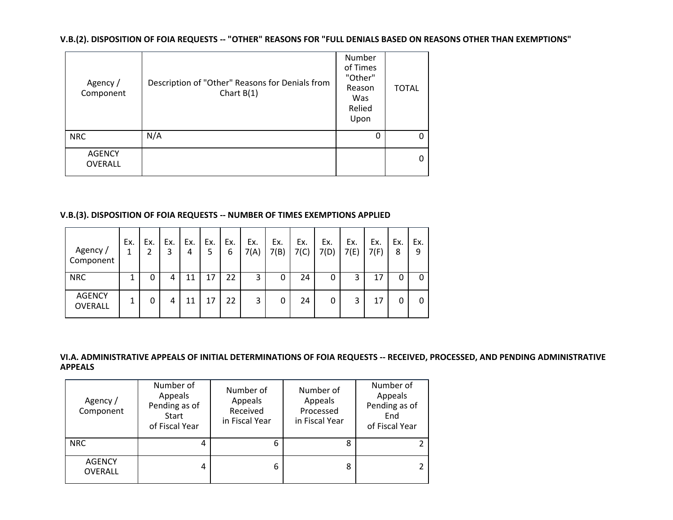**V.B.(2). DISPOSITION OF FOIA REQUESTS -- "OTHER" REASONS FOR "FULL DENIALS BASED ON REASONS OTHER THAN EXEMPTIONS"**

| Agency /<br>Component           | Description of "Other" Reasons for Denials from<br>Chart $B(1)$ | Number<br>of Times<br>"Other"<br>Reason<br>Was<br>Relied<br>Upon | <b>TOTAL</b> |
|---------------------------------|-----------------------------------------------------------------|------------------------------------------------------------------|--------------|
| <b>NRC</b>                      | N/A                                                             | 0                                                                |              |
| <b>AGENCY</b><br><b>OVERALL</b> |                                                                 |                                                                  |              |

## **V.B.(3). DISPOSITION OF FOIA REQUESTS -- NUMBER OF TIMES EXEMPTIONS APPLIED**

| Agency /<br>Component    | Ex.<br>1 | Ex.<br>2 | Ex.<br>3 | Ex.<br>4 | Ex.<br>5 | Ex.<br>6 | Ex.<br>7(A) | Ex.<br>7(B) | Ex.<br>7(C) | Ex.<br>7(D) | Ex.<br>7(E) | Ex.<br>7(F) | Ex.<br>8 | Ex.<br>9 |
|--------------------------|----------|----------|----------|----------|----------|----------|-------------|-------------|-------------|-------------|-------------|-------------|----------|----------|
| <b>NRC</b>               |          | 0        | 4        | 11       | 17       | 22       | 3           | 0           | 24          | 0           | 3           | 17          |          | 0        |
| <b>AGENCY</b><br>OVERALL | 1        | 0        | 4        | 11       | 17       | 22       | 3           | 0           | 24          | 0           | 3           | 17          |          | 0        |

### **VI.A. ADMINISTRATIVE APPEALS OF INITIAL DETERMINATIONS OF FOIA REQUESTS -- RECEIVED, PROCESSED, AND PENDING ADMINISTRATIVE APPEALS**

| Agency /<br>Component           | Number of<br>Appeals<br>Pending as of<br><b>Start</b><br>of Fiscal Year | Number of<br>Appeals<br>Received<br>in Fiscal Year | Number of<br>Appeals<br>Processed<br>in Fiscal Year | Number of<br>Appeals<br>Pending as of<br>End<br>of Fiscal Year |
|---------------------------------|-------------------------------------------------------------------------|----------------------------------------------------|-----------------------------------------------------|----------------------------------------------------------------|
| <b>NRC</b>                      |                                                                         | 6                                                  | 8                                                   |                                                                |
| <b>AGENCY</b><br><b>OVERALL</b> | 4                                                                       | 6                                                  | 8                                                   |                                                                |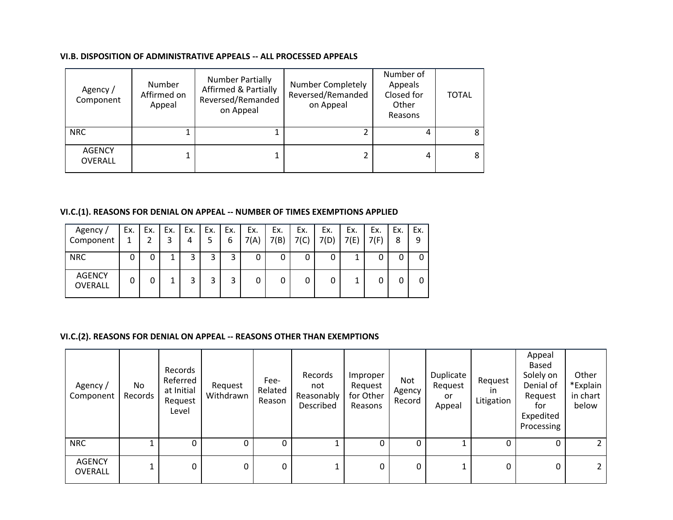### **VI.B. DISPOSITION OF ADMINISTRATIVE APPEALS -- ALL PROCESSED APPEALS**

| Agency /<br>Component    | Number<br>Affirmed on<br>Appeal | <b>Number Partially</b><br><b>Affirmed &amp; Partially</b><br>Reversed/Remanded<br>on Appeal | <b>Number Completely</b><br>Reversed/Remanded<br>on Appeal | Number of<br>Appeals<br>Closed for<br>Other<br>Reasons | <b>TOTAL</b> |
|--------------------------|---------------------------------|----------------------------------------------------------------------------------------------|------------------------------------------------------------|--------------------------------------------------------|--------------|
| <b>NRC</b>               |                                 |                                                                                              |                                                            |                                                        |              |
| <b>AGENCY</b><br>OVERALL |                                 |                                                                                              |                                                            |                                                        |              |

# **VI.C.(1). REASONS FOR DENIAL ON APPEAL -- NUMBER OF TIMES EXEMPTIONS APPLIED**

| Agency /<br>Component    | Ex. | Ex. | Ex.<br>3 | Ex.<br>4 | Ex.<br>5. | Ex.<br>6 | Ex.<br>7(A) | Ex.<br>7(B) | Ex.<br>7(C) | Ex.<br>7(D) | Ex.<br>7(E) | Ex.<br>7(F) | Ex.<br>8 | Ex.<br>9 |
|--------------------------|-----|-----|----------|----------|-----------|----------|-------------|-------------|-------------|-------------|-------------|-------------|----------|----------|
| <b>NRC</b>               | 0   | 0   |          | 3        | 3         | 3        | 0           |             | 0           |             |             |             |          |          |
| <b>AGENCY</b><br>OVERALL | 0   | 0   |          | 3        | 3         | ົ<br>ب   |             |             | 0           |             |             |             |          |          |

## **VI.C.(2). REASONS FOR DENIAL ON APPEAL -- REASONS OTHER THAN EXEMPTIONS**

| Agency/<br>Component     | No<br>Records | Records<br>Referred<br>at Initial<br>Request<br>Level | Request<br>Withdrawn | Fee-<br>Related<br>Reason | Records<br>not<br>Reasonably<br>Described | Improper<br>Request<br>for Other<br>Reasons | Not<br>Agency<br>Record | Duplicate<br>Request<br>or<br>Appeal | Request<br>ın<br>Litigation | Appeal<br>Based<br>Solely on<br>Denial of<br>Request<br>for<br>Expedited<br>Processing | Other<br>*Explain<br>in chart<br>below |
|--------------------------|---------------|-------------------------------------------------------|----------------------|---------------------------|-------------------------------------------|---------------------------------------------|-------------------------|--------------------------------------|-----------------------------|----------------------------------------------------------------------------------------|----------------------------------------|
| <b>NRC</b>               |               | 0                                                     | 0                    | 0                         |                                           | 0                                           | 0                       |                                      | 0                           | 0                                                                                      |                                        |
| <b>AGENCY</b><br>OVERALL |               | 0                                                     | 0                    | 0                         |                                           | 0                                           | 0                       |                                      | 0                           | 0                                                                                      |                                        |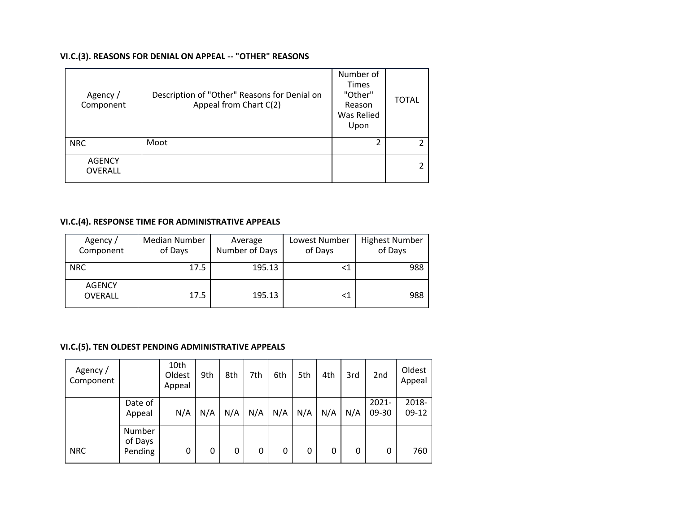## **VI.C.(3). REASONS FOR DENIAL ON APPEAL -- "OTHER" REASONS**

| Agency /<br>Component    | Description of "Other" Reasons for Denial on<br>Appeal from Chart C(2) | Number of<br><b>Times</b><br>"Other"<br>Reason<br>Was Relied<br>Upon | <b>TOTAL</b> |
|--------------------------|------------------------------------------------------------------------|----------------------------------------------------------------------|--------------|
| <b>NRC</b>               | Moot                                                                   | 2                                                                    |              |
| <b>AGENCY</b><br>OVERALL |                                                                        |                                                                      |              |

# **VI.C.(4). RESPONSE TIME FOR ADMINISTRATIVE APPEALS**

| Agency /<br>Component           | Median Number<br>of Days | Average<br>Number of Days | Lowest Number<br>of Days | <b>Highest Number</b><br>of Days |
|---------------------------------|--------------------------|---------------------------|--------------------------|----------------------------------|
| <b>NRC</b>                      | 17.5                     | 195.13                    |                          | 988                              |
| <b>AGENCY</b><br><b>OVERALL</b> | 17.5                     | 195.13                    |                          | 988                              |

## **VI.C.(5). TEN OLDEST PENDING ADMINISTRATIVE APPEALS**

| Agency /<br>Component |                              | 10th<br>Oldest<br>Appeal | 9th | 8th | 7th | 6th | 5th | 4th | 3rd | 2 <sub>nd</sub>   | Oldest<br>Appeal |
|-----------------------|------------------------------|--------------------------|-----|-----|-----|-----|-----|-----|-----|-------------------|------------------|
|                       | Date of<br>Appeal            | N/A                      | N/A | N/A | N/A | N/A | N/A | N/A | N/A | $2021 -$<br>09-30 | 2018-<br>$09-12$ |
| <b>NRC</b>            | Number<br>of Days<br>Pending | 0                        | 0   | 0   | 0   | 0   | 0   | 0   | 0   | 0                 | 760              |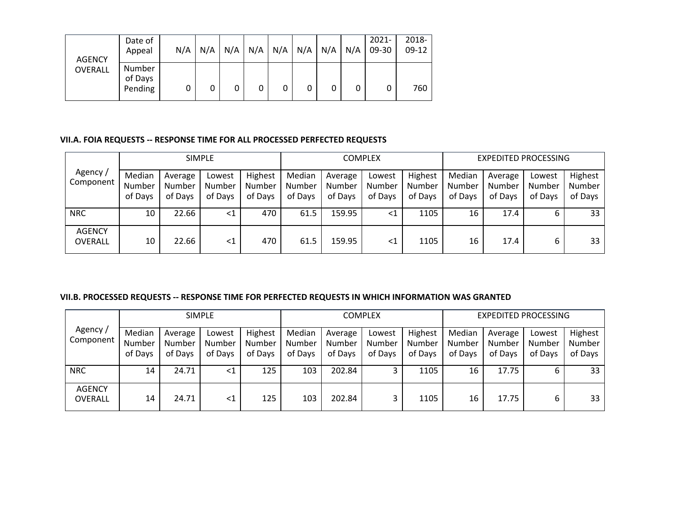| <b>AGENCY</b> | Date of<br>Appeal            | N/A | N/A | $N/A$ $N/A$ |   | $N/A$ $N/A$ | N/A | N/A | $2021 -$<br>09-30 | 2018-<br>$09-12$ |
|---------------|------------------------------|-----|-----|-------------|---|-------------|-----|-----|-------------------|------------------|
| OVERALL       | Number<br>of Days<br>Pending | 0   | 0   | 0           | 0 | 0           |     | 0   | 0                 | 760              |

### **VII.A. FOIA REQUESTS -- RESPONSE TIME FOR ALL PROCESSED PERFECTED REQUESTS**

|                                 |                             |                              | <b>SIMPLE</b>               |                              |                             |                              | <b>COMPLEX</b>              |                              |                             | <b>EXPEDITED PROCESSING</b>  |                             |                              |
|---------------------------------|-----------------------------|------------------------------|-----------------------------|------------------------------|-----------------------------|------------------------------|-----------------------------|------------------------------|-----------------------------|------------------------------|-----------------------------|------------------------------|
| Agency /<br>Component           | Median<br>Number<br>of Days | Average<br>Number<br>of Days | Lowest<br>Number<br>of Days | Highest<br>Number<br>of Days | Median<br>Number<br>of Days | Average<br>Number<br>of Days | Lowest<br>Number<br>of Days | Highest<br>Number<br>of Days | Median<br>Number<br>of Days | Average<br>Number<br>of Days | Lowest<br>Number<br>of Days | Highest<br>Number<br>of Days |
| <b>NRC</b>                      | 10                          | 22.66                        | $\leq$ 1                    | 470                          | 61.5                        | 159.95                       | <1                          | 1105                         | 16                          | 17.4                         | ь                           | 33                           |
| <b>AGENCY</b><br><b>OVERALL</b> | 10                          | 22.66                        | $<$ 1                       | 470                          | 61.5                        | 159.95                       | ${<}1$                      | 1105                         | 16                          | 17.4                         | ь                           | 33                           |

### **VII.B. PROCESSED REQUESTS -- RESPONSE TIME FOR PERFECTED REQUESTS IN WHICH INFORMATION WAS GRANTED**

|                          |                             |                              | <b>SIMPLE</b>               |                              |                             |                              | COMPLEX                     |                              |                             | <b>EXPEDITED PROCESSING</b>  |                             |                              |
|--------------------------|-----------------------------|------------------------------|-----------------------------|------------------------------|-----------------------------|------------------------------|-----------------------------|------------------------------|-----------------------------|------------------------------|-----------------------------|------------------------------|
| Agency /<br>Component    | Median<br>Number<br>of Days | Average<br>Number<br>of Days | Lowest<br>Number<br>of Days | Highest<br>Number<br>of Days | Median<br>Number<br>of Days | Average<br>Number<br>of Days | Lowest<br>Number<br>of Days | Highest<br>Number<br>of Days | Median<br>Number<br>of Days | Average<br>Number<br>of Days | Lowest<br>Number<br>of Days | Highest<br>Number<br>of Days |
| <b>NRC</b>               | 14                          | 24.71                        | $\leq 1$                    | 125                          | 103                         | 202.84                       |                             | 1105                         | 16                          | 17.75                        | ь                           | 33                           |
| <b>AGENCY</b><br>OVERALL | 14                          | 24.71                        | $\leq 1$                    | 125                          | 103                         | 202.84                       |                             | 1105                         | 16                          | 17.75                        | 6                           | 33                           |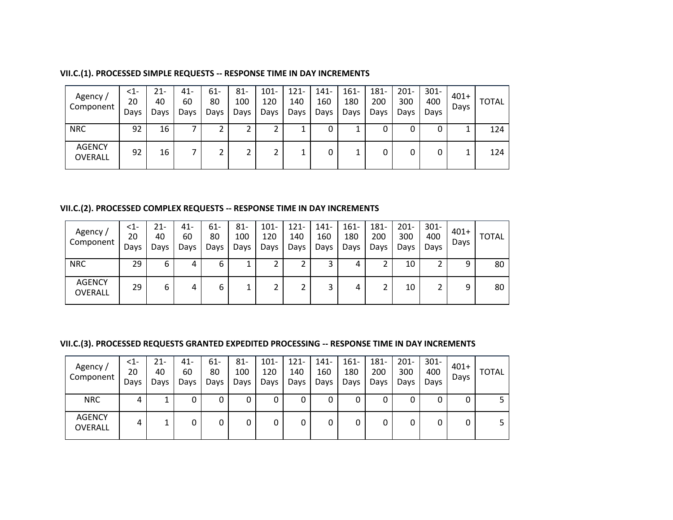| VII.C.(1). PROCESSED SIMPLE REQUESTS -- RESPONSE TIME IN DAY INCREMENTS |  |  |  |
|-------------------------------------------------------------------------|--|--|--|
|-------------------------------------------------------------------------|--|--|--|

| Agency /<br>Component    | $\leq$ 1-<br>20<br>Days | 21-<br>40<br>Days | $41 -$<br>60<br>Days | 61-<br>80<br>Days | $81 -$<br>100<br>Days | $101 -$<br>120<br>Days | $121 -$<br>140<br>Days | 141-<br>160<br>Days | $161 -$<br>180<br>Days | 181-<br>200<br>Days | $201 -$<br>300<br>Days | $301 -$<br>400<br>Davs | $401+$<br>Days | <b>TOTAL</b> |
|--------------------------|-------------------------|-------------------|----------------------|-------------------|-----------------------|------------------------|------------------------|---------------------|------------------------|---------------------|------------------------|------------------------|----------------|--------------|
| <b>NRC</b>               | 92                      | 16                |                      |                   |                       |                        | ᆠ                      |                     |                        | 0                   | 0                      |                        |                | 124          |
| <b>AGENCY</b><br>OVERALL | 92                      | 16                |                      | ∠                 |                       |                        | ᅩ                      |                     |                        | 0                   | 0                      |                        |                | 124          |

## **VII.C.(2). PROCESSED COMPLEX REQUESTS -- RESPONSE TIME IN DAY INCREMENTS**

| Agency /<br>Component           | $\leq$ 1-<br>20<br>Days | 21-<br>40<br>Days | 41-<br>60<br>Days | 61-<br>80<br>Days | $81 -$<br>100<br>Davs | $101 -$<br>120<br>Days | $121 -$<br>140<br>Days | $141 -$<br>160<br>Days | $161 -$<br>180<br>Days | $181 -$<br>200<br>Days | $201 -$<br>300<br>Days | $301 -$<br>400<br>Days | $401+$<br>Days | <b>TOTAL</b> |
|---------------------------------|-------------------------|-------------------|-------------------|-------------------|-----------------------|------------------------|------------------------|------------------------|------------------------|------------------------|------------------------|------------------------|----------------|--------------|
| <b>NRC</b>                      | 29                      | 6                 | 4                 | 6                 |                       |                        | ∍<br>∠                 |                        | 4                      | ◠                      | 10                     |                        | 9              | 80           |
| <b>AGENCY</b><br><b>OVERALL</b> | 29                      | 6                 | 4                 | 6                 |                       |                        | ∍                      |                        | 4                      |                        | 10                     |                        | 9              | 80           |

# **VII.C.(3). PROCESSED REQUESTS GRANTED EXPEDITED PROCESSING -- RESPONSE TIME IN DAY INCREMENTS**

| Agency /<br>Component           | $\leq$ 1-<br>20<br>Days | 21-<br>40<br>Days | 41-<br>60<br>Days | 61-<br>80<br>Days | 81-<br>100<br>Days | $101 -$<br>120<br>Days | $121 -$<br>140<br>Days | $141 -$<br>160<br>Days | $161 -$<br>180<br>Days | 181-<br>200<br>Days | $201 -$<br>300<br>Days | $301 -$<br>400<br>Days | $401+$<br>Days | <b>TOTAL</b> |
|---------------------------------|-------------------------|-------------------|-------------------|-------------------|--------------------|------------------------|------------------------|------------------------|------------------------|---------------------|------------------------|------------------------|----------------|--------------|
| <b>NRC</b>                      | 4                       |                   |                   | 0                 |                    | 0                      | 0                      | 0                      | 0                      | 0                   | 0                      |                        | 0              |              |
| <b>AGENCY</b><br><b>OVERALL</b> | 4                       |                   | 0                 | 0                 |                    | 0                      | 0                      | 0                      |                        | 0                   | 0                      |                        | 0              |              |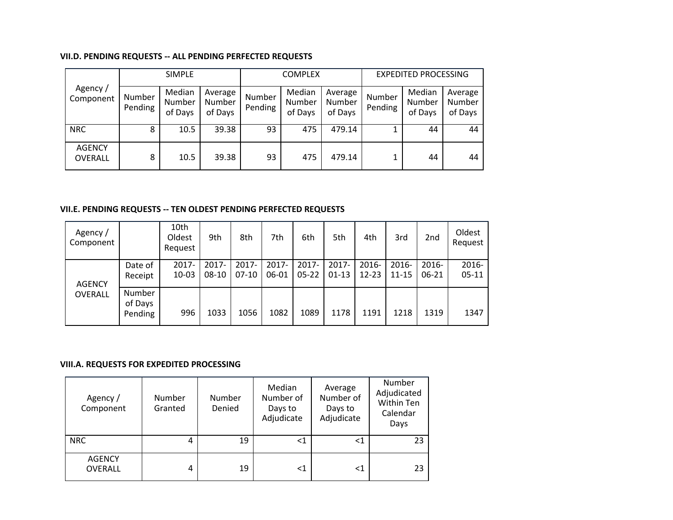### **VII.D. PENDING REQUESTS -- ALL PENDING PERFECTED REQUESTS**

|                          |                   | <b>SIMPLE</b>               |                              |                   | <b>COMPLEX</b>              |                              |                   | <b>EXPEDITED PROCESSING</b> |                              |
|--------------------------|-------------------|-----------------------------|------------------------------|-------------------|-----------------------------|------------------------------|-------------------|-----------------------------|------------------------------|
| Agency /<br>Component    | Number<br>Pending | Median<br>Number<br>of Days | Average<br>Number<br>of Days | Number<br>Pending | Median<br>Number<br>of Days | Average<br>Number<br>of Days | Number<br>Pending | Median<br>Number<br>of Days | Average<br>Number<br>of Days |
| <b>NRC</b>               | 8                 | 10.5                        | 39.38                        | 93                | 475                         | 479.14                       |                   | 44                          | 44                           |
| <b>AGENCY</b><br>OVERALL | 8                 | 10.5                        | 39.38                        | 93                | 475                         | 479.14                       |                   | 44                          | 44                           |

## **VII.E. PENDING REQUESTS -- TEN OLDEST PENDING PERFECTED REQUESTS**

| Agency /<br>Component |                                     | 10th<br>Oldest<br>Request | 9th                 | 8th              | 7th            | 6th                | 5th              | 4th            | 3rd            | 2 <sub>nd</sub> | Oldest<br>Request  |
|-----------------------|-------------------------------------|---------------------------|---------------------|------------------|----------------|--------------------|------------------|----------------|----------------|-----------------|--------------------|
| <b>AGENCY</b>         | Date of<br>Receipt                  | $2017 -$<br>10-03         | $2017 -$<br>$08-10$ | 2017-<br>$07-10$ | 2017-<br>06-01 | 2017-<br>$05 - 22$ | 2017-<br>$01-13$ | 2016-<br>12-23 | 2016-<br>11-15 | 2016-<br>06-21  | 2016-<br>$05 - 11$ |
| OVERALL               | <b>Number</b><br>of Days<br>Pending | 996                       | 1033                | 1056             | 1082           | 1089               | 1178             | 1191           | 1218           | 1319            | 1347               |

### **VIII.A. REQUESTS FOR EXPEDITED PROCESSING**

| Agency /<br>Component           | Number<br>Granted | Number<br>Denied | Median<br>Number of<br>Days to<br>Adjudicate | Average<br>Number of<br>Days to<br>Adjudicate | Number<br>Adjudicated<br>Within Ten<br>Calendar<br>Days |
|---------------------------------|-------------------|------------------|----------------------------------------------|-----------------------------------------------|---------------------------------------------------------|
| <b>NRC</b>                      | 4                 | 19               | <1                                           | ${<}1$                                        | 23                                                      |
| <b>AGENCY</b><br><b>OVERALL</b> | 4                 | 19               | $<$ 1                                        | $<$ 1                                         | 23                                                      |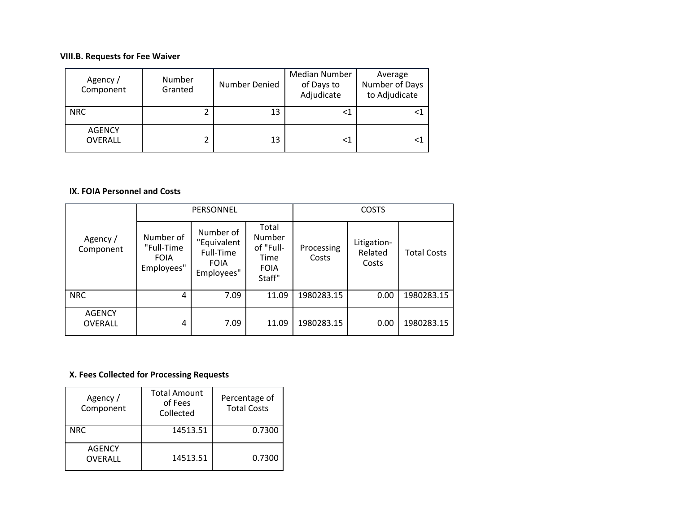## **VIII.B. Requests for Fee Waiver**

| Agency /<br>Component           | Number<br>Granted | Number Denied | <b>Median Number</b><br>of Days to<br>Adjudicate | Average<br>Number of Days<br>to Adjudicate |
|---------------------------------|-------------------|---------------|--------------------------------------------------|--------------------------------------------|
| <b>NRC</b>                      |                   | 13            | <1                                               |                                            |
| <b>AGENCY</b><br><b>OVERALL</b> |                   | 13            | <1                                               |                                            |

## **IX. FOIA Personnel and Costs**

|                                 |                                                      | PERSONNEL                                                          |                                                               | <b>COSTS</b>        |                                 |                    |
|---------------------------------|------------------------------------------------------|--------------------------------------------------------------------|---------------------------------------------------------------|---------------------|---------------------------------|--------------------|
| Agency /<br>Component           | Number of<br>"Full-Time<br><b>FOIA</b><br>Employees" | Number of<br>"Equivalent<br>Full-Time<br><b>FOIA</b><br>Employees" | Total<br>Number<br>of "Full-<br>Time<br><b>FOIA</b><br>Staff" | Processing<br>Costs | Litigation-<br>Related<br>Costs | <b>Total Costs</b> |
| <b>NRC</b>                      | 4                                                    | 7.09                                                               | 11.09                                                         | 1980283.15          | 0.00                            | 1980283.15         |
| <b>AGENCY</b><br><b>OVERALL</b> | 4                                                    | 7.09                                                               | 11.09                                                         | 1980283.15          | 0.00                            | 1980283.15         |

# **X. Fees Collected for Processing Requests**

| Agency /<br>Component    | <b>Total Amount</b><br>of Fees<br>Collected | Percentage of<br><b>Total Costs</b> |
|--------------------------|---------------------------------------------|-------------------------------------|
| <b>NRC</b>               | 14513.51                                    | 0.7300                              |
| <b>AGENCY</b><br>OVERALL | 14513.51                                    | 0.7300                              |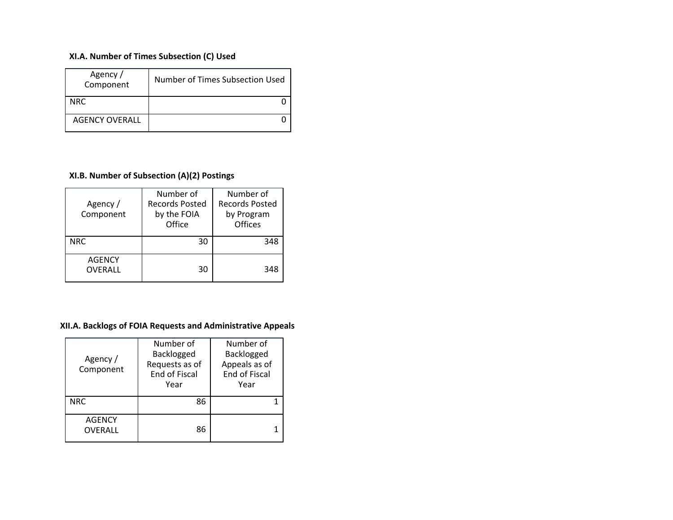# **XI.A. Number of Times Subsection (C) Used**

| Agency /<br>Component | Number of Times Subsection Used |
|-----------------------|---------------------------------|
| NRC.                  |                                 |
| <b>AGENCY OVERALL</b> |                                 |

# **XI.B. Number of Subsection (A)(2) Postings**

| Agency /<br>Component           | Number of<br><b>Records Posted</b><br>by the FOIA<br>Office | Number of<br><b>Records Posted</b><br>by Program<br>Offices |
|---------------------------------|-------------------------------------------------------------|-------------------------------------------------------------|
| <b>NRC</b>                      | 30                                                          | 348                                                         |
| <b>AGENCY</b><br><b>OVERALL</b> | 30                                                          | 348                                                         |

# **XII.A. Backlogs of FOIA Requests and Administrative Appeals**

| Agency /<br>Component           | Number of<br>Backlogged<br>Requests as of<br><b>End of Fiscal</b><br>Year | Number of<br>Backlogged<br>Appeals as of<br><b>End of Fiscal</b><br>Year |
|---------------------------------|---------------------------------------------------------------------------|--------------------------------------------------------------------------|
| <b>NRC</b>                      | 86                                                                        |                                                                          |
| <b>AGENCY</b><br><b>OVERALL</b> | 86                                                                        |                                                                          |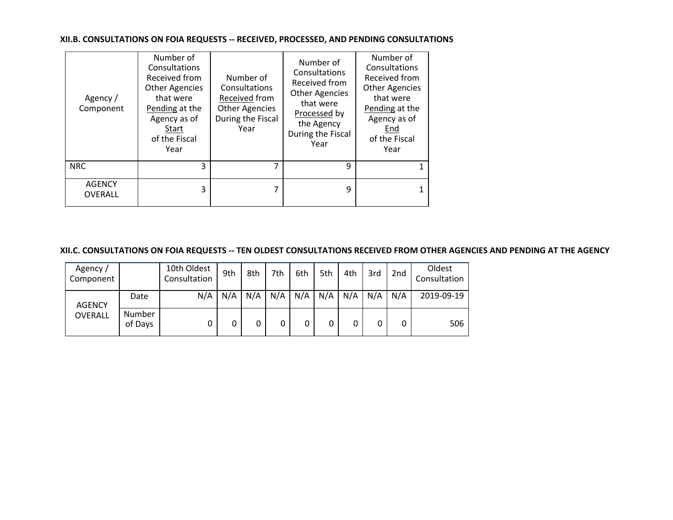### **XII.B. CONSULTATIONS ON FOIA REQUESTS -- RECEIVED, PROCESSED, AND PENDING CONSULTATIONS**

| Agency /<br>Component           | Number of<br>Consultations<br>Received from<br><b>Other Agencies</b><br>that were<br>Pending at the<br>Agency as of<br>Start<br>of the Fiscal<br>Year | Number of<br>Consultations<br>Received from<br><b>Other Agencies</b><br>During the Fiscal<br>Year | Number of<br>Consultations<br>Received from<br><b>Other Agencies</b><br>that were<br>Processed by<br>the Agency<br>During the Fiscal<br>Year | Number of<br>Consultations<br>Received from<br><b>Other Agencies</b><br>that were<br>Pending at the<br>Agency as of<br>End<br>of the Fiscal<br>Year |
|---------------------------------|-------------------------------------------------------------------------------------------------------------------------------------------------------|---------------------------------------------------------------------------------------------------|----------------------------------------------------------------------------------------------------------------------------------------------|-----------------------------------------------------------------------------------------------------------------------------------------------------|
| <b>NRC</b>                      | 3                                                                                                                                                     |                                                                                                   | q                                                                                                                                            |                                                                                                                                                     |
| <b>AGENCY</b><br><b>OVERALL</b> | 3                                                                                                                                                     | 7                                                                                                 | 9                                                                                                                                            | 1                                                                                                                                                   |

## **XII.C. CONSULTATIONS ON FOIA REQUESTS -- TEN OLDEST CONSULTATIONS RECEIVED FROM OTHER AGENCIES AND PENDING AT THE AGENCY**

| Agency /<br>Component |                   | 10th Oldest<br>Consultation | 9th | 8th | 7th | 6th | 5th | 4th | 3rd | 2 <sub>nd</sub> | Oldest<br>Consultation |
|-----------------------|-------------------|-----------------------------|-----|-----|-----|-----|-----|-----|-----|-----------------|------------------------|
| <b>AGENCY</b>         | Date              | N/A                         | N/A | N/A | N/A | N/A | N/A | N/A | N/A | N/A             | 2019-09-19             |
| <b>OVERALL</b>        | Number<br>of Days |                             |     | 0   | 0   |     | 0   | 0   |     | 0               | 506                    |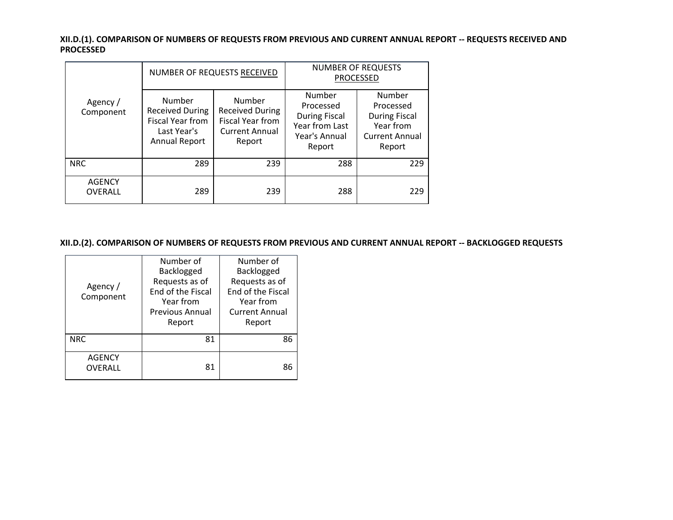**XII.D.(1). COMPARISON OF NUMBERS OF REQUESTS FROM PREVIOUS AND CURRENT ANNUAL REPORT -- REQUESTS RECEIVED AND PROCESSED**

|                          |                                                                                      | NUMBER OF REQUESTS RECEIVED                                                             | <b>NUMBER OF REQUESTS</b><br><b>PROCESSED</b>                                            |                                                                                             |  |
|--------------------------|--------------------------------------------------------------------------------------|-----------------------------------------------------------------------------------------|------------------------------------------------------------------------------------------|---------------------------------------------------------------------------------------------|--|
| Agency /<br>Component    | Number<br><b>Received During</b><br>Fiscal Year from<br>Last Year's<br>Annual Report | Number<br><b>Received During</b><br>Fiscal Year from<br><b>Current Annual</b><br>Report | Number<br>Processed<br><b>During Fiscal</b><br>Year from Last<br>Year's Annual<br>Report | Number<br>Processed<br><b>During Fiscal</b><br>Year from<br><b>Current Annual</b><br>Report |  |
| <b>NRC</b>               | 289                                                                                  | 239                                                                                     | 288                                                                                      | 229                                                                                         |  |
| <b>AGENCY</b><br>OVERALL | 289                                                                                  | 239                                                                                     | 288                                                                                      | 229                                                                                         |  |

**XII.D.(2). COMPARISON OF NUMBERS OF REQUESTS FROM PREVIOUS AND CURRENT ANNUAL REPORT -- BACKLOGGED REQUESTS**

| Agency /<br>Component    | Number of<br>Backlogged<br>Requests as of<br>End of the Fiscal<br>Year from<br><b>Previous Annual</b><br>Report | Number of<br>Backlogged<br>Requests as of<br>End of the Fiscal<br>Year from<br><b>Current Annual</b><br>Report |
|--------------------------|-----------------------------------------------------------------------------------------------------------------|----------------------------------------------------------------------------------------------------------------|
| <b>NRC</b>               | 81                                                                                                              | 86                                                                                                             |
| <b>AGENCY</b><br>OVERALL | 81                                                                                                              | 86                                                                                                             |